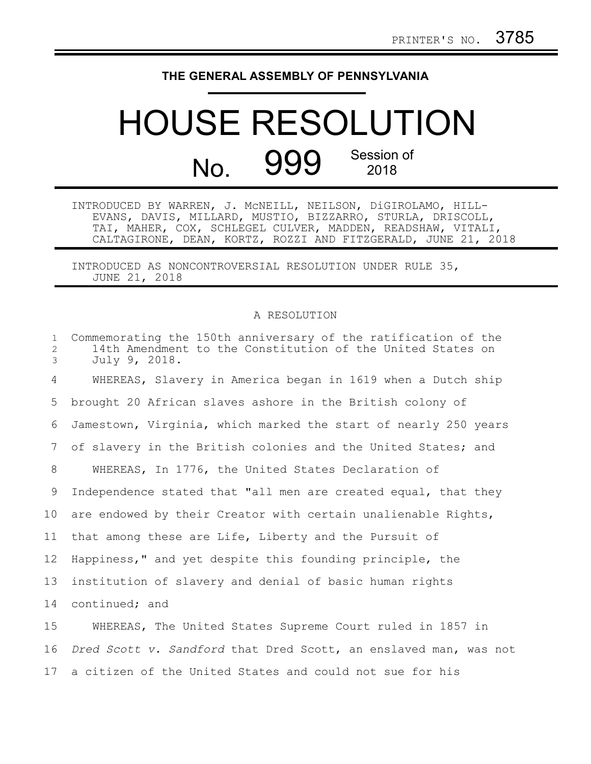## **THE GENERAL ASSEMBLY OF PENNSYLVANIA**

## HOUSE RESOLUTION No. 999 Session of 2018

INTRODUCED BY WARREN, J. McNEILL, NEILSON, DiGIROLAMO, HILL-EVANS, DAVIS, MILLARD, MUSTIO, BIZZARRO, STURLA, DRISCOLL, TAI, MAHER, COX, SCHLEGEL CULVER, MADDEN, READSHAW, VITALI, CALTAGIRONE, DEAN, KORTZ, ROZZI AND FITZGERALD, JUNE 21, 2018

INTRODUCED AS NONCONTROVERSIAL RESOLUTION UNDER RULE 35, JUNE 21, 2018

## A RESOLUTION

| $\mathbf{1}$<br>$\mathbf{2}$<br>3 | Commemorating the 150th anniversary of the ratification of the<br>14th Amendment to the Constitution of the United States on<br>July 9, 2018. |
|-----------------------------------|-----------------------------------------------------------------------------------------------------------------------------------------------|
| 4                                 | WHEREAS, Slavery in America began in 1619 when a Dutch ship                                                                                   |
| 5                                 | brought 20 African slaves ashore in the British colony of                                                                                     |
| 6                                 | Jamestown, Virginia, which marked the start of nearly 250 years                                                                               |
| 7                                 | of slavery in the British colonies and the United States; and                                                                                 |
| 8                                 | WHEREAS, In 1776, the United States Declaration of                                                                                            |
| 9                                 | Independence stated that "all men are created equal, that they                                                                                |
| 10 <sub>o</sub>                   | are endowed by their Creator with certain unalienable Rights,                                                                                 |
| 11                                | that among these are Life, Liberty and the Pursuit of                                                                                         |
| 12                                | Happiness," and yet despite this founding principle, the                                                                                      |
| 13                                | institution of slavery and denial of basic human rights                                                                                       |
| 14                                | continued; and                                                                                                                                |
| 15                                | WUFPFAS The United States Supreme Court ruled in 1857 in                                                                                      |

WHEREAS, The United States Supreme Court ruled in 1857 in *Dred Scott v. Sandford* that Dred Scott, an enslaved man, was not 17 a citizen of the United States and could not sue for his 15 16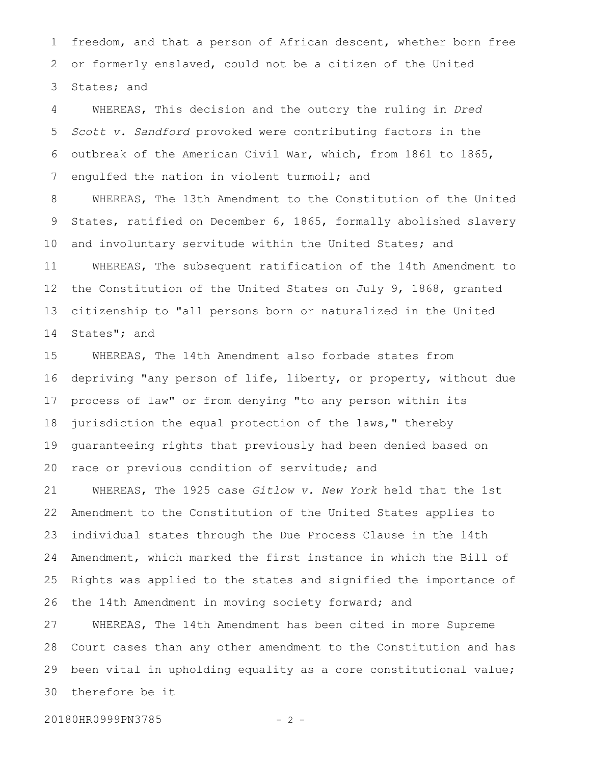freedom, and that a person of African descent, whether born free or formerly enslaved, could not be a citizen of the United States; and 1 2 3

WHEREAS, This decision and the outcry the ruling in *Dred Scott v. Sandford* provoked were contributing factors in the outbreak of the American Civil War, which, from 1861 to 1865, engulfed the nation in violent turmoil; and 4 5 6 7

WHEREAS, The 13th Amendment to the Constitution of the United States, ratified on December 6, 1865, formally abolished slavery and involuntary servitude within the United States; and WHEREAS, The subsequent ratification of the 14th Amendment to the Constitution of the United States on July 9, 1868, granted citizenship to "all persons born or naturalized in the United States"; and 8 9 10 11 12 13 14

WHEREAS, The 14th Amendment also forbade states from depriving "any person of life, liberty, or property, without due process of law" or from denying "to any person within its jurisdiction the equal protection of the laws," thereby guaranteeing rights that previously had been denied based on race or previous condition of servitude; and 15 16 17 18 19 20

WHEREAS, The 1925 case *Gitlow v. New York* held that the 1st Amendment to the Constitution of the United States applies to individual states through the Due Process Clause in the 14th Amendment, which marked the first instance in which the Bill of Rights was applied to the states and signified the importance of the 14th Amendment in moving society forward; and 21 22 23 24 25 26

WHEREAS, The 14th Amendment has been cited in more Supreme Court cases than any other amendment to the Constitution and has been vital in upholding equality as a core constitutional value; therefore be it 27 28 29 30

20180HR0999PN3785 - 2 -